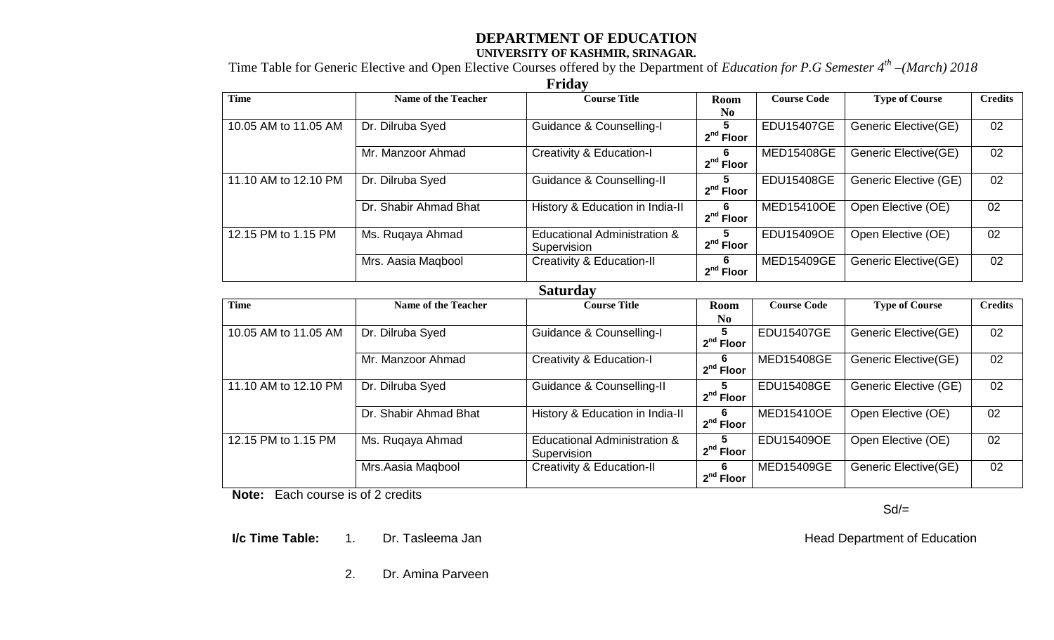## **DEPARTMENT OF EDUCATION UNIVERSITY OF KASHMIR, SRINAGAR.**

Time Table for Generic Elective and Open Elective Courses offered by the Department of *Education for P.G Semester 4th –(March) 2018*

**Friday** 

| <b>Time</b>          | <b>Name of the Teacher</b> | 1 Liuu<br><b>Course Title</b>                          | Room                          | <b>Course Code</b> | <b>Type of Course</b> | <b>Credits</b> |
|----------------------|----------------------------|--------------------------------------------------------|-------------------------------|--------------------|-----------------------|----------------|
|                      |                            |                                                        | N <sub>0</sub>                |                    |                       |                |
| 10.05 AM to 11.05 AM | Dr. Dilruba Syed           | Guidance & Counselling-I                               | 5.<br>$2nd$ Floor             | <b>EDU15407GE</b>  | Generic Elective(GE)  | 02             |
|                      | Mr. Manzoor Ahmad          | <b>Creativity &amp; Education-I</b>                    | 6<br>$2nd$ Floor              | <b>MED15408GE</b>  | Generic Elective(GE)  | 02             |
| 11.10 AM to 12.10 PM | Dr. Dilruba Syed           | Guidance & Counselling-II                              | 5.<br>$2nd$ Floor             | <b>EDU15408GE</b>  | Generic Elective (GE) | 02             |
|                      | Dr. Shabir Ahmad Bhat      | History & Education in India-II                        | 6<br>$2nd$ Floor              | <b>MED15410OE</b>  | Open Elective (OE)    | 02             |
| 12.15 PM to 1.15 PM  | Ms. Ruqaya Ahmad           | <b>Educational Administration &amp;</b><br>Supervision | 5<br>$2nd$ Floor              | EDU15409OE         | Open Elective (OE)    | 02             |
|                      | Mrs. Aasia Maqbool         | <b>Creativity &amp; Education-II</b>                   | 6<br>$2nd$ Floor              | MED15409GE         | Generic Elective(GE)  | 02             |
|                      |                            | <b>Saturday</b>                                        |                               |                    |                       |                |
| <b>Time</b>          | <b>Name of the Teacher</b> | <b>Course Title</b>                                    | <b>Room</b><br>N <sub>0</sub> | <b>Course Code</b> | <b>Type of Course</b> | <b>Credits</b> |
| 10.05 AM to 11.05 AM | Dr. Dilruba Syed           | Guidance & Counselling-I                               | 5.<br>$2nd$ Floor             | <b>EDU15407GE</b>  | Generic Elective(GE)  | 02             |
|                      | Mr. Manzoor Ahmad          | <b>Creativity &amp; Education-I</b>                    | 6<br>$2nd$ Floor              | <b>MED15408GE</b>  | Generic Elective(GE)  | 02             |
| 11.10 AM to 12.10 PM | Dr. Dilruba Syed           | Guidance & Counselling-II                              | $2nd$ Floor                   | <b>EDU15408GE</b>  | Generic Elective (GE) | 02             |
|                      | Dr. Shabir Ahmad Bhat      | History & Education in India-II                        | 6<br>$2nd$ Floor              | <b>MED15410OE</b>  | Open Elective (OE)    | 02             |
| 12.15 PM to 1.15 PM  | Ms. Ruqaya Ahmad           | <b>Educational Administration &amp;</b><br>Supervision | 5.<br>$2nd$ Floor             | <b>EDU15409OE</b>  | Open Elective (OE)    | 02             |
|                      | Mrs.Aasia Maqbool          | <b>Creativity &amp; Education-II</b>                   | 6<br>$2nd$ Floor              | <b>MED15409GE</b>  | Generic Elective(GE)  | 02             |

 **Note:** Each course is of 2 credits

 $Sd/=$ 

**I/c Time Table:** 1. Dr. Tasleema Jan **All Accords** 2012 12:30 and Head Department of Education

2. Dr. Amina Parveen